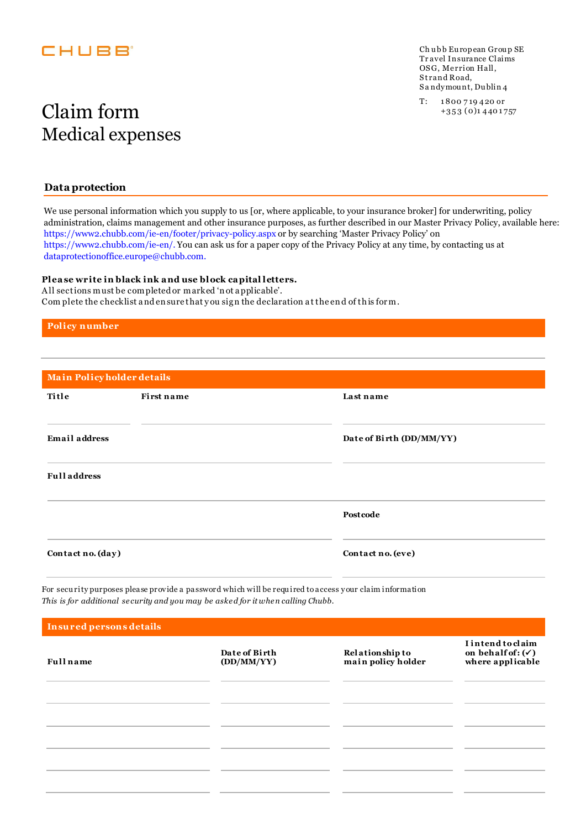## **EHUBB**

Ch ubb European Group SE Tr avel Insurance Claims OSG, Merrion Hall, Strand Road, S a ndymou nt, Du blin 4

# $\operatorname{Claim}\lim \lim \inf_{\scriptscriptstyle +353\, (0)_{1\,440\,1757}}$ Medical expenses

#### **Data protection**

We use personal information which you supply to us [or, where applicable, to your insurance broker] for underwriting, policy administration, claims management and other insurance purposes, as further described in our Master Privacy Policy, available here: https://www2.chubb.com/ie-en/footer/privacy-policy.aspx or by searching 'Master Privacy Policy' on https://www2.chubb.com/ie-en/. You can ask us for a paper copy of the Privacy Policy at any time, by contacting us at dataprotectionoffice.europe@chubb.com.

#### **Plea se write in black ink a nd use block ca pital letters.**

A ll sections must be completed or marked 'n ot a pplicable'. Com plete the checklist a nd en sure that y ou sig n the declaration a t the en d of th is for m.

**Policy number**

| Main Policyholder details |            |                          |  |
|---------------------------|------------|--------------------------|--|
| Title                     | First name | Last name                |  |
| <b>Email</b> address      |            | Date of Birth (DD/MM/YY) |  |
| <b>Full address</b>       |            |                          |  |
|                           |            | Postcode                 |  |
| Contact no. (day)         |            | Contact no. (eve)        |  |
|                           |            |                          |  |

For secu rity purposes please provide a password which will be requ ired to access your claim information *This is for additional se curity and you may be aske d for it whe n calling Chubb.*

| Insured persons details |                             |                                       |                                                                       |
|-------------------------|-----------------------------|---------------------------------------|-----------------------------------------------------------------------|
| <b>Full</b> name        | Date of Birth<br>(DD/MM/YY) | Relationship to<br>main policy holder | I intend to claim<br>on behalf of: $(\checkmark)$<br>where applicable |
|                         |                             |                                       |                                                                       |
|                         |                             |                                       |                                                                       |
|                         |                             |                                       |                                                                       |
|                         |                             |                                       |                                                                       |
|                         |                             |                                       |                                                                       |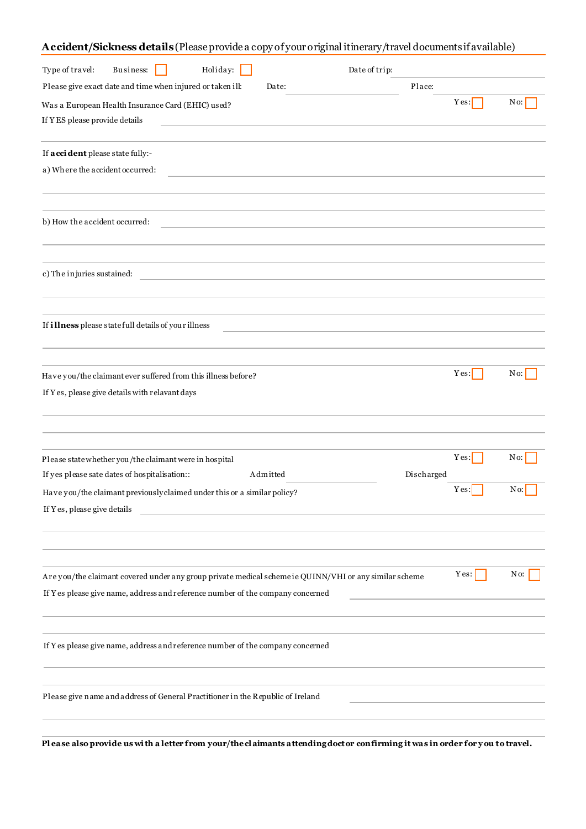| Accident/Sickness details (Please provide a copy of your original itinerary/travel documents if available)                                                                                |      |                          |
|-------------------------------------------------------------------------------------------------------------------------------------------------------------------------------------------|------|--------------------------|
| Holiday: $\Box$<br>Business:<br>Date of trip:<br>Type of travel:                                                                                                                          |      |                          |
| Please give exact date and time when injured or taken ill:<br>Place:<br>Date:                                                                                                             |      |                          |
| Was a European Health Insurance Card (EHIC) used?<br>If YES please provide details                                                                                                        | Yes: | No:                      |
| If a cci dent please state fully:-                                                                                                                                                        |      |                          |
| a) Where the accident occurred:<br><u> 1980 - Jan Sterling Sterling, amerikansk politik (</u>                                                                                             |      |                          |
| b) How the accident occurred:                                                                                                                                                             |      |                          |
| c) The injuries sustained:<br><u> 1980 - John Stein, Amerikaansk politiker († 1908)</u>                                                                                                   |      |                          |
| If illness please statefull details of your illness                                                                                                                                       |      |                          |
| Have you/the claimant ever suffered from this illness before?<br>If Yes, please give details with relavant days                                                                           | Yes: | No:                      |
| Please statewhether you/the claimant were in hospital                                                                                                                                     | Yes: | No:                      |
| If yes please sate dates of hospitalisation::<br>Discharged<br>Admitted                                                                                                                   |      |                          |
| Have you/the claimant previously claimed under this or a similar policy?<br>If Yes, please give details                                                                                   | Yes: | $\overline{\text{No:}}$  |
|                                                                                                                                                                                           |      |                          |
| Are you/the claimant covered under any group private medical scheme ie QUINN/VHI or any similar scheme<br>If Y es please give name, address and reference number of the company concerned | Yes: | $\overline{\text{No}}$ : |
| If Y es please give name, address and reference number of the company concerned                                                                                                           |      |                          |
| Please give name and address of General Practitioner in the Republic of Ireland                                                                                                           |      |                          |
|                                                                                                                                                                                           |      |                          |

**Pl ease also provide us wi th a letter from your/the cl aimants attending doctor confirming it was in order for y ou to travel.**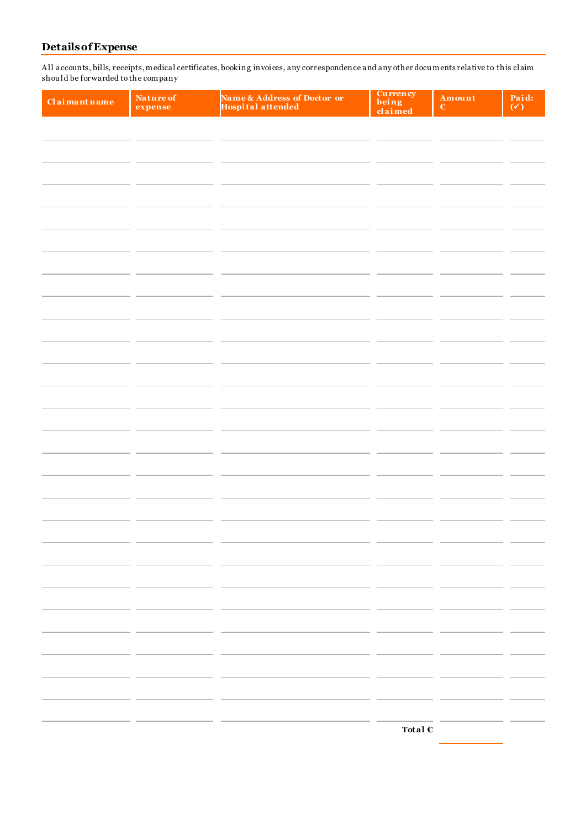### **Details of Expense**

A ll accounts, bills, receipts, medical certificates, booking invoices, any correspondence and any other docu ments relative to this claim shou ld be forwarded to the company

| Claimant name | Nature of<br>expense | Name & Address of Doctor or<br>Hospital attended | Currency<br>being<br>claimed | Amount<br>$\mathbf \epsilon$ | Paid:<br>$(\checkmark)$ |
|---------------|----------------------|--------------------------------------------------|------------------------------|------------------------------|-------------------------|
|               |                      |                                                  |                              |                              |                         |
|               |                      |                                                  |                              |                              |                         |
|               |                      |                                                  |                              |                              |                         |
|               |                      |                                                  |                              |                              |                         |
|               |                      |                                                  |                              |                              |                         |
|               |                      |                                                  |                              |                              |                         |
|               |                      |                                                  |                              |                              |                         |
|               |                      |                                                  |                              |                              |                         |
|               |                      |                                                  |                              |                              |                         |
|               |                      |                                                  |                              |                              |                         |
|               |                      |                                                  |                              |                              |                         |
|               |                      |                                                  |                              |                              |                         |
|               |                      |                                                  |                              |                              |                         |
|               |                      |                                                  |                              |                              |                         |
|               |                      |                                                  |                              |                              |                         |
|               |                      |                                                  |                              |                              |                         |
|               |                      |                                                  |                              |                              |                         |
|               |                      |                                                  |                              |                              |                         |
|               |                      |                                                  |                              |                              |                         |
|               |                      |                                                  |                              |                              |                         |
|               |                      |                                                  |                              |                              |                         |
|               |                      |                                                  |                              |                              |                         |
|               |                      |                                                  |                              |                              |                         |
|               |                      |                                                  |                              |                              |                         |
|               |                      |                                                  |                              |                              |                         |
|               |                      |                                                  |                              |                              |                         |
|               |                      |                                                  |                              |                              |                         |
|               |                      |                                                  |                              |                              |                         |
|               |                      |                                                  |                              |                              |                         |
|               |                      |                                                  |                              |                              |                         |
|               |                      |                                                  |                              |                              |                         |
|               |                      |                                                  |                              |                              |                         |
|               |                      |                                                  | Total $\mathbb C$            |                              |                         |